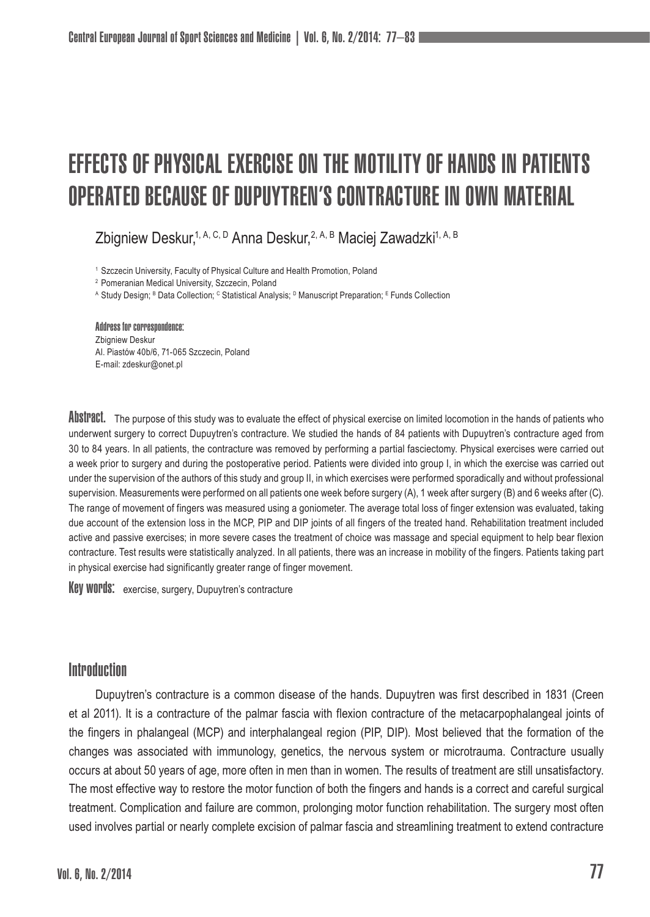# Effects of physical exercise on the motility of hands in patients operated because of Dupuytren's contracture in own material

Zbigniew Deskur,<sup>1, A, C, D</sup> Anna Deskur, <sup>2, A, B</sup> Maciej Zawadzki<sup>1, A, B</sup>

<sup>1</sup> Szczecin University, Faculty of Physical Culture and Health Promotion, Poland

<sup>2</sup> Pomeranian Medical University, Szczecin, Poland

A Study Design; <sup>в</sup> Data Collection; <sup>с</sup> Statistical Analysis; <sup>D</sup> Manuscript Preparation; <sup>в</sup> Funds Collection

#### Address for correspondence:

Zbigniew Deskur Al. Piastów 40b/6, 71-065 Szczecin, Poland E-mail: zdeskur@onet.pl

ADSTPACT. The purpose of this study was to evaluate the effect of physical exercise on limited locomotion in the hands of patients who underwent surgery to correct Dupuytren's contracture. We studied the hands of 84 patients with Dupuytren's contracture aged from 30 to 84 years. In all patients, the contracture was removed by performing a partial fasciectomy. Physical exercises were carried out a week prior to surgery and during the postoperative period. Patients were divided into group I, in which the exercise was carried out under the supervision of the authors of this study and group II, in which exercises were performed sporadically and without professional supervision. Measurements were performed on all patients one week before surgery (A), 1 week after surgery (B) and 6 weeks after (C). The range of movement of fingers was measured using a goniometer. The average total loss of finger extension was evaluated, taking due account of the extension loss in the MCP, PIP and DIP joints of all fingers of the treated hand. Rehabilitation treatment included active and passive exercises; in more severe cases the treatment of choice was massage and special equipment to help bear flexion contracture. Test results were statistically analyzed. In all patients, there was an increase in mobility of the fingers. Patients taking part in physical exercise had significantly greater range of finger movement.

Key words: exercise, surgery, Dupuytren's contracture

# **Introduction**

Dupuytren's contracture is a common disease of the hands. Dupuytren was first described in 1831 (Creen et al 2011). It is a contracture of the palmar fascia with flexion contracture of the metacarpophalangeal joints of the fingers in phalangeal (MCP) and interphalangeal region (PIP, DIP). Most believed that the formation of the changes was associated with immunology, genetics, the nervous system or microtrauma. Contracture usually occurs at about 50 years of age, more often in men than in women. The results of treatment are still unsatisfactory. The most effective way to restore the motor function of both the fingers and hands is a correct and careful surgical treatment. Complication and failure are common, prolonging motor function rehabilitation. The surgery most often used involves partial or nearly complete excision of palmar fascia and streamlining treatment to extend contracture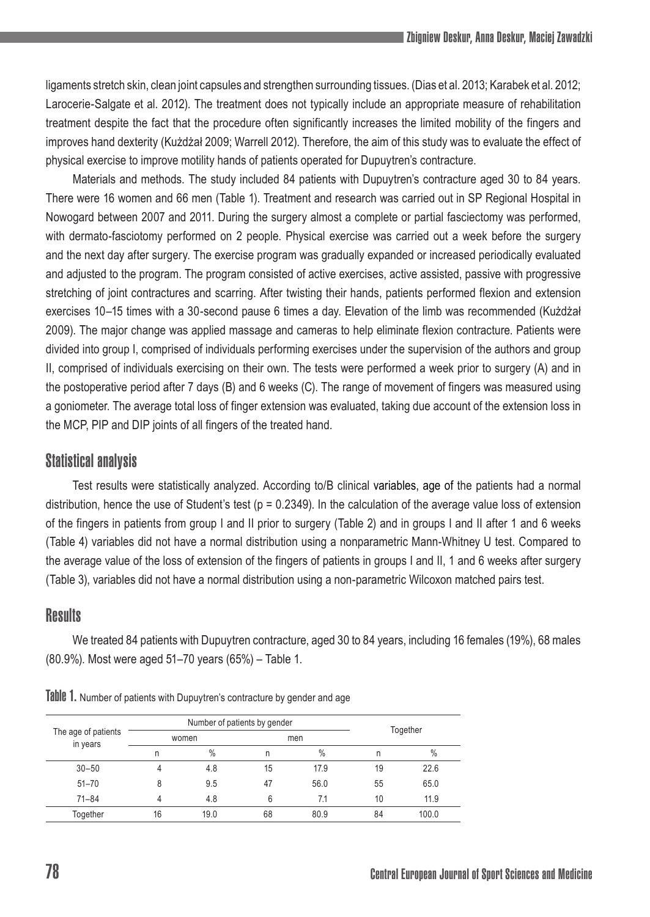ligaments stretch skin, clean joint capsules and strengthen surrounding tissues. (Dias et al. 2013; Karabek et al. 2012; Larocerie-Salgate et al. 2012). The treatment does not typically include an appropriate measure of rehabilitation treatment despite the fact that the procedure often significantly increases the limited mobility of the fingers and improves hand dexterity (Kużdżał 2009; Warrell 2012). Therefore, the aim of this study was to evaluate the effect of physical exercise to improve motility hands of patients operated for Dupuytren's contracture.

Materials and methods. The study included 84 patients with Dupuytren's contracture aged 30 to 84 years. There were 16 women and 66 men (Table 1). Treatment and research was carried out in SP Regional Hospital in Nowogard between 2007 and 2011. During the surgery almost a complete or partial fasciectomy was performed, with dermato-fasciotomy performed on 2 people. Physical exercise was carried out a week before the surgery and the next day after surgery. The exercise program was gradually expanded or increased periodically evaluated and adjusted to the program. The program consisted of active exercises, active assisted, passive with progressive stretching of joint contractures and scarring. After twisting their hands, patients performed flexion and extension exercises 10–15 times with a 30-second pause 6 times a day. Elevation of the limb was recommended (Kużdżał 2009). The major change was applied massage and cameras to help eliminate flexion contracture. Patients were divided into group I, comprised of individuals performing exercises under the supervision of the authors and group II, comprised of individuals exercising on their own. The tests were performed a week prior to surgery (A) and in the postoperative period after 7 days (B) and 6 weeks (C). The range of movement of fingers was measured using a goniometer. The average total loss of finger extension was evaluated, taking due account of the extension loss in the MCP, PIP and DIP joints of all fingers of the treated hand.

# Statistical analysis

Test results were statistically analyzed. According to/B clinical variables, age of the patients had a normal distribution, hence the use of Student's test ( $p = 0.2349$ ). In the calculation of the average value loss of extension of the fingers in patients from group I and II prior to surgery (Table 2) and in groups I and II after 1 and 6 weeks (Table 4) variables did not have a normal distribution using a nonparametric Mann-Whitney U test. Compared to the average value of the loss of extension of the fingers of patients in groups I and II, 1 and 6 weeks after surgery (Table 3), variables did not have a normal distribution using a non-parametric Wilcoxon matched pairs test.

### **Results**

We treated 84 patients with Dupuytren contracture, aged 30 to 84 years, including 16 females (19%), 68 males (80.9%). Most were aged 51–70 years (65%) – Table 1.

| The age of patients<br>in years |       | Number of patients by gender |    |               |          |               |
|---------------------------------|-------|------------------------------|----|---------------|----------|---------------|
|                                 | women |                              |    | men           | Together |               |
|                                 | n     | $\%$                         | n  | $\frac{0}{0}$ | n        | $\frac{0}{0}$ |
| $30 - 50$                       | 4     | 4.8                          | 15 | 17.9          | 19       | 22.6          |
| $51 - 70$                       | 8     | 9.5                          | 47 | 56.0          | 55       | 65.0          |
| $71 - 84$                       | 4     | 4.8                          | 6  | 7.1           | 10       | 11.9          |
| Together                        | 16    | 19.0                         | 68 | 80.9          | 84       | 100.0         |

Table 1. Number of patients with Dupuytren's contracture by gender and age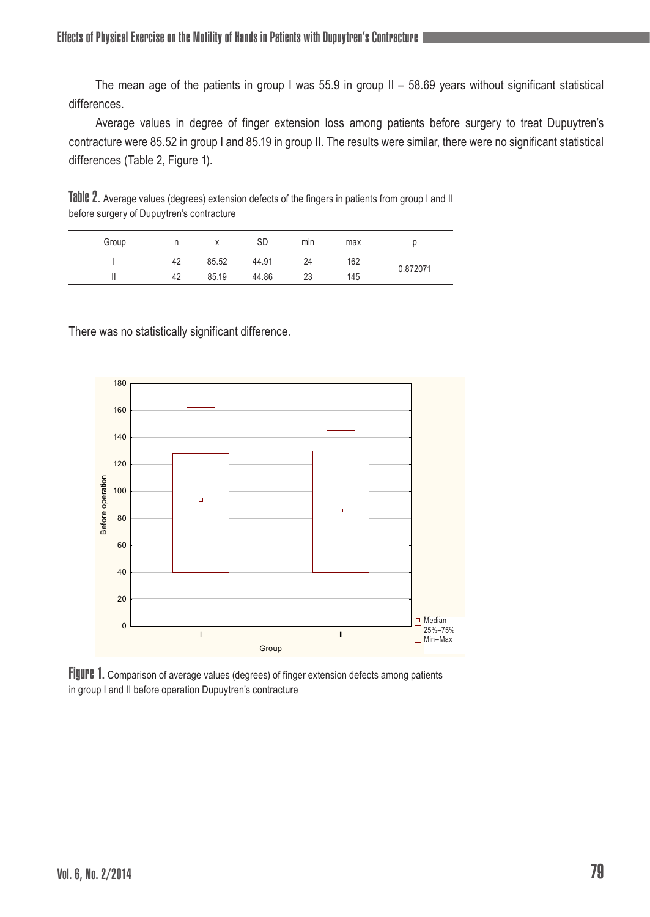The mean age of the patients in group I was 55.9 in group  $II - 58.69$  years without significant statistical differences.

Average values in degree of finger extension loss among patients before surgery to treat Dupuytren's contracture were 85.52 in group I and 85.19 in group II. The results were similar, there were no significant statistical differences (Table 2, Figure 1).

Table 2. Average values (degrees) extension defects of the fingers in patients from group I and II before surgery of Dupuytren's contracture

| Group |    |       | <b>SD</b> | min | max |          |  |
|-------|----|-------|-----------|-----|-----|----------|--|
|       | 42 | 85.52 | 44.91     | 24  | 162 | 0.872071 |  |
|       | 42 | 85.19 | 44.86     | 23  | 145 |          |  |

There was no statistically significant difference.



Figure 1. Comparison of average values (degrees) of finger extension defects among patients in group I and II before operation Dupuytren's contracture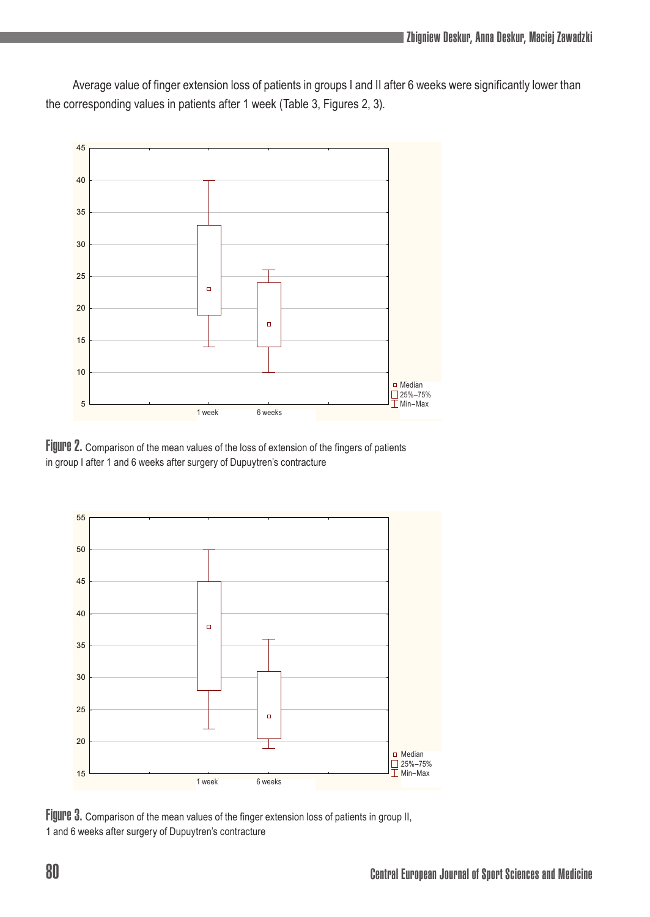Average value of finger extension loss of patients in groups I and II after 6 weeks were significantly lower than the corresponding values in patients after 1 week (Table 3, Figures 2, 3).



Figure 2. Comparison of the mean values of the loss of extension of the fingers of patients in group I after 1 and 6 weeks after surgery of Dupuytren's contracture



Figure 3. Comparison of the mean values of the finger extension loss of patients in group II, 1 and 6 weeks after surgery of Dupuytren's contracture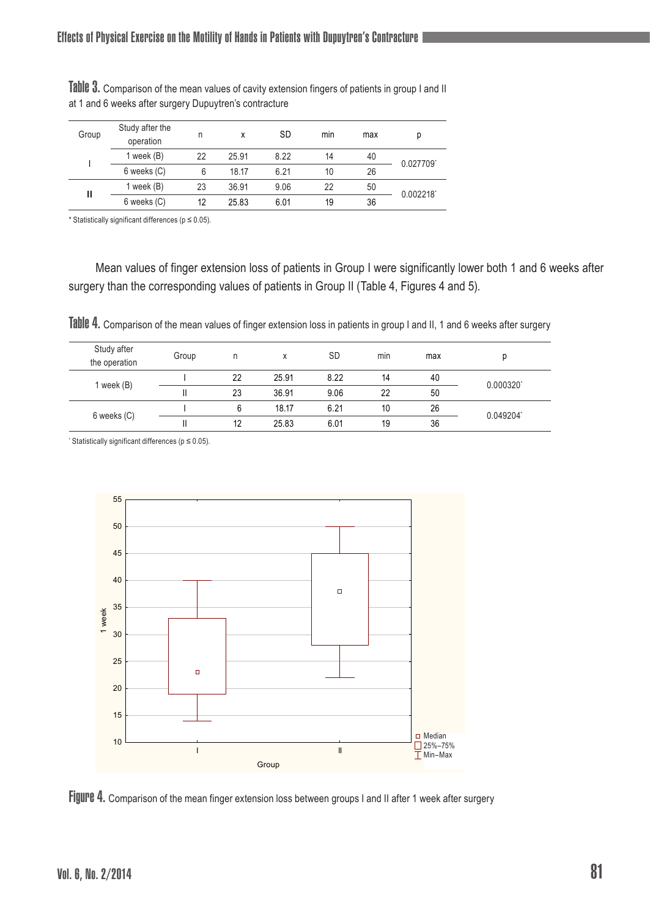| Group | Study after the<br>operation | n  | x     | <b>SD</b> | min | max | р         |
|-------|------------------------------|----|-------|-----------|-----|-----|-----------|
|       | 1 week $(B)$                 | 22 | 25.91 | 8.22      | 14  | 40  | 0.027709  |
|       | 6 weeks (C)                  | 6  | 18.17 | 6.21      | 10  | 26  |           |
| н     | 1 week $(B)$                 | 23 | 36.91 | 9.06      | 22  | 50  | 0.002218' |
|       | 6 weeks (C)                  | 12 | 25.83 | 6.01      | 19  | 36  |           |

Table 3. Comparison of the mean values of cavity extension fingers of patients in group I and II at 1 and 6 weeks after surgery Dupuytren's contracture

\* Statistically significant differences (p ≤ 0.05).

Mean values of finger extension loss of patients in Group I were significantly lower both 1 and 6 weeks after surgery than the corresponding values of patients in Group II (Table 4, Figures 4 and 5).

Table 4. Comparison of the mean values of finger extension loss in patients in group I and II, 1 and 6 weeks after surgery

| Study after<br>the operation | Group | n  |       | <b>SD</b> | min | max |           |
|------------------------------|-------|----|-------|-----------|-----|-----|-----------|
| 1 week (B)                   |       | 22 | 25.91 | 8.22      | 14  | 40  | 0.000320' |
|                              |       | 23 | 36.91 | 9.06      | 22  | 50  |           |
| 6 weeks (C)                  |       | 6  | 18.17 | 6.21      | 10  | 26  | 0.049204  |
|                              |       | 12 | 25.83 | 6.01      | 19  | 36  |           |

\* Statistically significant differences (p ≤ 0.05).



Figure 4. Comparison of the mean finger extension loss between groups I and II after 1 week after surgery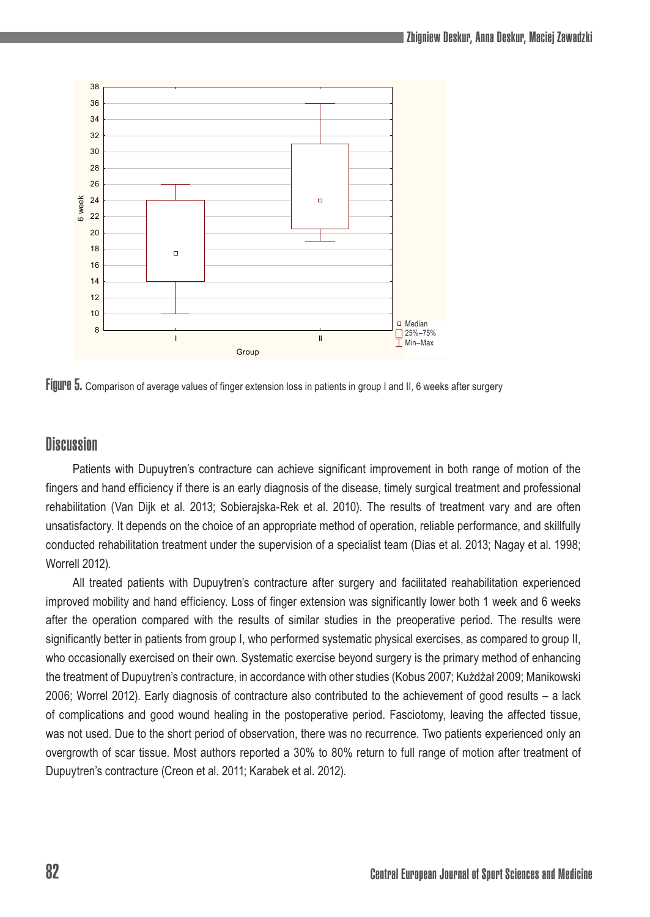

FIJUPE 5. Comparison of average values of finger extension loss in patients in group I and II, 6 weeks after surgery

# **Discussion**

Patients with Dupuytren's contracture can achieve significant improvement in both range of motion of the fingers and hand efficiency if there is an early diagnosis of the disease, timely surgical treatment and professional rehabilitation (Van Dijk et al. 2013; Sobierajska-Rek et al. 2010). The results of treatment vary and are often unsatisfactory. It depends on the choice of an appropriate method of operation, reliable performance, and skillfully conducted rehabilitation treatment under the supervision of a specialist team (Dias et al. 2013; Nagay et al. 1998; Worrell 2012).

All treated patients with Dupuytren's contracture after surgery and facilitated reahabilitation experienced improved mobility and hand efficiency. Loss of finger extension was significantly lower both 1 week and 6 weeks after the operation compared with the results of similar studies in the preoperative period. The results were significantly better in patients from group I, who performed systematic physical exercises, as compared to group II, who occasionally exercised on their own. Systematic exercise beyond surgery is the primary method of enhancing the treatment of Dupuytren's contracture, in accordance with other studies (Kobus 2007; Kużdżał 2009; Manikowski 2006; Worrel 2012). Early diagnosis of contracture also contributed to the achievement of good results – a lack of complications and good wound healing in the postoperative period. Fasciotomy, leaving the affected tissue, was not used. Due to the short period of observation, there was no recurrence. Two patients experienced only an overgrowth of scar tissue. Most authors reported a 30% to 80% return to full range of motion after treatment of Dupuytren's contracture (Creon et al. 2011; Karabek et al. 2012).